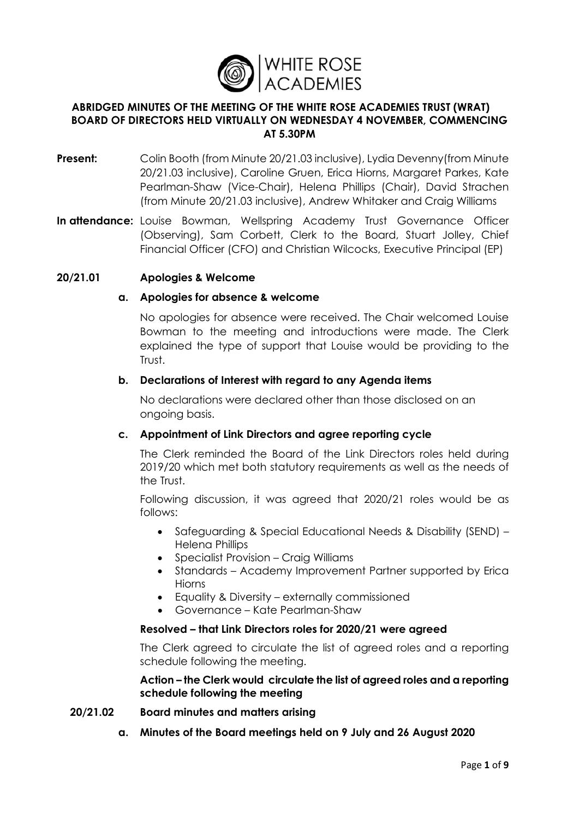

### **ABRIDGED MINUTES OF THE MEETING OF THE WHITE ROSE ACADEMIES TRUST (WRAT) BOARD OF DIRECTORS HELD VIRTUALLY ON WEDNESDAY 4 NOVEMBER, COMMENCING AT 5.30PM**

- **Present:** Colin Booth (from Minute 20/21.03 inclusive), Lydia Devenny (from Minute 20/21.03 inclusive), Caroline Gruen, Erica Hiorns, Margaret Parkes, Kate Pearlman-Shaw (Vice-Chair), Helena Phillips (Chair), David Strachen (from Minute 20/21.03 inclusive), Andrew Whitaker and Craig Williams
- In attendance: Louise Bowman, Wellspring Academy Trust Governance Officer (Observing), Sam Corbett, Clerk to the Board, Stuart Jolley, Chief Financial Officer (CFO) and Christian Wilcocks, Executive Principal (EP)

## **20/21.01 Apologies & Welcome**

## **a. Apologies for absence & welcome**

No apologies for absence were received. The Chair welcomed Louise Bowman to the meeting and introductions were made. The Clerk explained the type of support that Louise would be providing to the Trust.

### **b. Declarations of Interest with regard to any Agenda items**

No declarations were declared other than those disclosed on an ongoing basis.

## **c. Appointment of Link Directors and agree reporting cycle**

The Clerk reminded the Board of the Link Directors roles held during 2019/20 which met both statutory requirements as well as the needs of the Trust.

Following discussion, it was agreed that 2020/21 roles would be as follows:

- Safeguarding & Special Educational Needs & Disability (SEND) Helena Phillips
- Specialist Provision Craig Williams
- Standards Academy Improvement Partner supported by Erica Hiorns
- Equality & Diversity externally commissioned
- Governance Kate Pearlman-Shaw

### **Resolved – that Link Directors roles for 2020/21 were agreed**

The Clerk agreed to circulate the list of agreed roles and a reporting schedule following the meeting.

## **Action – the Clerk would circulate the list of agreed roles and a reporting schedule following the meeting**

### **20/21.02 Board minutes and matters arising**

**a. Minutes of the Board meetings held on 9 July and 26 August 2020**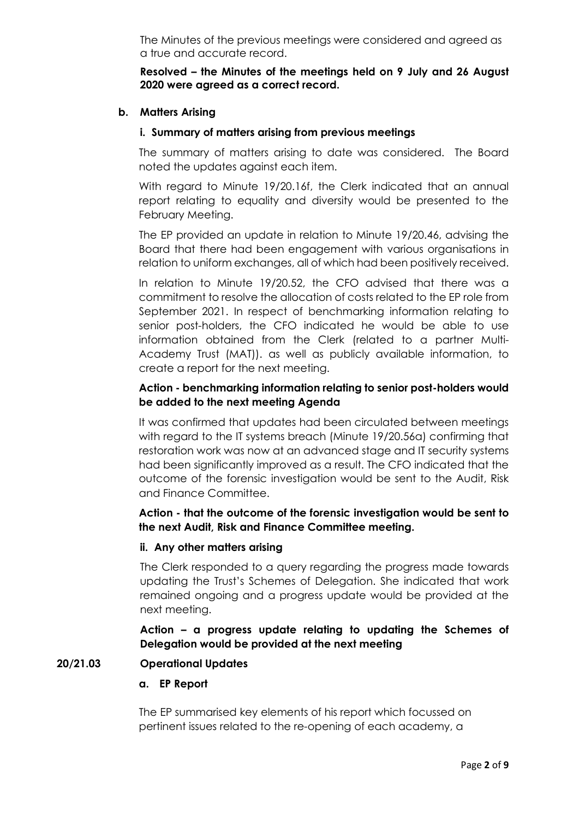The Minutes of the previous meetings were considered and agreed as a true and accurate record.

### **Resolved – the Minutes of the meetings held on 9 July and 26 August 2020 were agreed as a correct record.**

### **b. Matters Arising**

### **i. Summary of matters arising from previous meetings**

The summary of matters arising to date was considered. The Board noted the updates against each item.

With regard to Minute 19/20.16f, the Clerk indicated that an annual report relating to equality and diversity would be presented to the February Meeting.

The EP provided an update in relation to Minute 19/20.46, advising the Board that there had been engagement with various organisations in relation to uniform exchanges, all of which had been positively received.

In relation to Minute 19/20.52, the CFO advised that there was a commitment to resolve the allocation of costs related to the EP role from September 2021. In respect of benchmarking information relating to senior post-holders, the CFO indicated he would be able to use information obtained from the Clerk (related to a partner Multi-Academy Trust (MAT)). as well as publicly available information, to create a report for the next meeting.

# **Action - benchmarking information relating to senior post-holders would be added to the next meeting Agenda**

It was confirmed that updates had been circulated between meetings with regard to the IT systems breach (Minute 19/20.56a) confirming that restoration work was now at an advanced stage and IT security systems had been significantly improved as a result. The CFO indicated that the outcome of the forensic investigation would be sent to the Audit, Risk and Finance Committee.

## **Action - that the outcome of the forensic investigation would be sent to the next Audit, Risk and Finance Committee meeting.**

### **ii. Any other matters arising**

The Clerk responded to a query regarding the progress made towards updating the Trust's Schemes of Delegation. She indicated that work remained ongoing and a progress update would be provided at the next meeting.

## **Action – a progress update relating to updating the Schemes of Delegation would be provided at the next meeting**

### **20/21.03 Operational Updates**

### **a. EP Report**

The EP summarised key elements of his report which focussed on pertinent issues related to the re-opening of each academy, a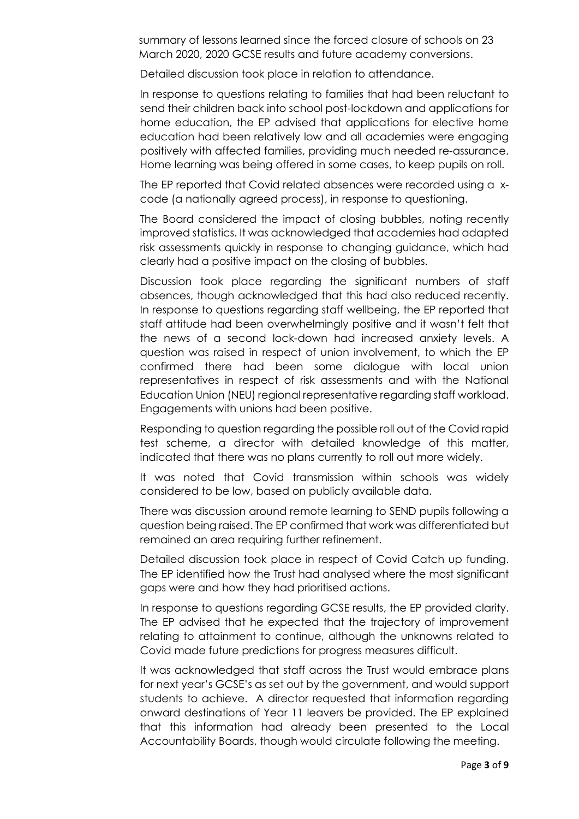summary of lessons learned since the forced closure of schools on 23 March 2020, 2020 GCSE results and future academy conversions.

Detailed discussion took place in relation to attendance.

In response to questions relating to families that had been reluctant to send their children back into school post-lockdown and applications for home education, the EP advised that applications for elective home education had been relatively low and all academies were engaging positively with affected families, providing much needed re-assurance. Home learning was being offered in some cases, to keep pupils on roll.

The EP reported that Covid related absences were recorded using a xcode (a nationally agreed process), in response to questioning.

The Board considered the impact of closing bubbles, noting recently improved statistics. It was acknowledged that academies had adapted risk assessments quickly in response to changing guidance, which had clearly had a positive impact on the closing of bubbles.

Discussion took place regarding the significant numbers of staff absences, though acknowledged that this had also reduced recently. In response to questions regarding staff wellbeing, the EP reported that staff attitude had been overwhelmingly positive and it wasn't felt that the news of a second lock-down had increased anxiety levels. A question was raised in respect of union involvement, to which the EP confirmed there had been some dialogue with local union representatives in respect of risk assessments and with the National Education Union (NEU) regional representative regarding staff workload. Engagements with unions had been positive.

Responding to question regarding the possible roll out of the Covid rapid test scheme, a director with detailed knowledge of this matter, indicated that there was no plans currently to roll out more widely.

It was noted that Covid transmission within schools was widely considered to be low, based on publicly available data.

There was discussion around remote learning to SEND pupils following a question being raised. The EP confirmed that work was differentiated but remained an area requiring further refinement.

Detailed discussion took place in respect of Covid Catch up funding. The EP identified how the Trust had analysed where the most significant gaps were and how they had prioritised actions.

In response to questions regarding GCSE results, the EP provided clarity. The EP advised that he expected that the trajectory of improvement relating to attainment to continue, although the unknowns related to Covid made future predictions for progress measures difficult.

It was acknowledged that staff across the Trust would embrace plans for next year's GCSE's as set out by the government, and would support students to achieve. A director requested that information regarding onward destinations of Year 11 leavers be provided. The EP explained that this information had already been presented to the Local Accountability Boards, though would circulate following the meeting.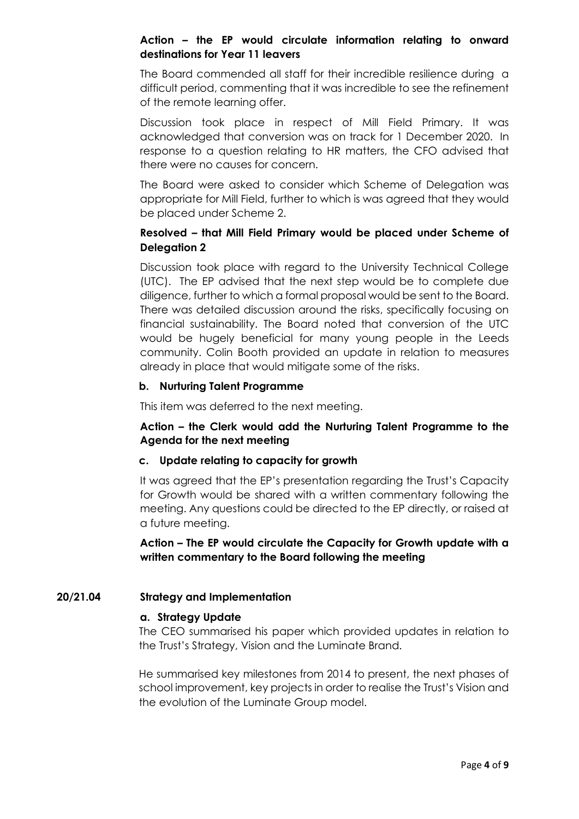## **Action – the EP would circulate information relating to onward destinations for Year 11 leavers**

The Board commended all staff for their incredible resilience during a difficult period, commenting that it was incredible to see the refinement of the remote learning offer.

Discussion took place in respect of Mill Field Primary. It was acknowledged that conversion was on track for 1 December 2020. In response to a question relating to HR matters, the CFO advised that there were no causes for concern.

The Board were asked to consider which Scheme of Delegation was appropriate for Mill Field, further to which is was agreed that they would be placed under Scheme 2.

## **Resolved – that Mill Field Primary would be placed under Scheme of Delegation 2**

Discussion took place with regard to the University Technical College (UTC). The EP advised that the next step would be to complete due diligence, further to which a formal proposal would be sent to the Board. There was detailed discussion around the risks, specifically focusing on financial sustainability. The Board noted that conversion of the UTC would be hugely beneficial for many young people in the Leeds community. Colin Booth provided an update in relation to measures already in place that would mitigate some of the risks.

## **b. Nurturing Talent Programme**

This item was deferred to the next meeting.

## **Action – the Clerk would add the Nurturing Talent Programme to the Agenda for the next meeting**

### **c. Update relating to capacity for growth**

It was agreed that the EP's presentation regarding the Trust's Capacity for Growth would be shared with a written commentary following the meeting. Any questions could be directed to the EP directly, or raised at a future meeting.

**Action – The EP would circulate the Capacity for Growth update with a written commentary to the Board following the meeting**

## **20/21.04 Strategy and Implementation**

### **a. Strategy Update**

The CEO summarised his paper which provided updates in relation to the Trust's Strategy, Vision and the Luminate Brand.

He summarised key milestones from 2014 to present, the next phases of school improvement, key projects in order to realise the Trust's Vision and the evolution of the Luminate Group model.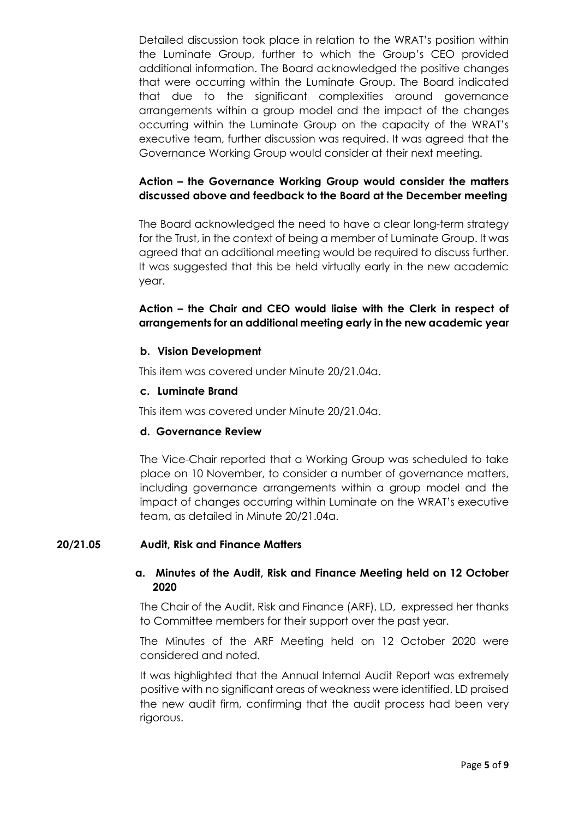Detailed discussion took place in relation to the WRAT's position within the Luminate Group, further to which the Group's CEO provided additional information. The Board acknowledged the positive changes that were occurring within the Luminate Group. The Board indicated that due to the significant complexities around governance arrangements within a group model and the impact of the changes occurring within the Luminate Group on the capacity of the WRAT's executive team, further discussion was required. It was agreed that the Governance Working Group would consider at their next meeting.

# **Action – the Governance Working Group would consider the matters discussed above and feedback to the Board at the December meeting**

The Board acknowledged the need to have a clear long-term strategy for the Trust, in the context of being a member of Luminate Group. It was agreed that an additional meeting would be required to discuss further. It was suggested that this be held virtually early in the new academic year.

# **Action – the Chair and CEO would liaise with the Clerk in respect of arrangements for an additional meeting early in the new academic year**

## **b. Vision Development**

This item was covered under Minute 20/21.04a.

## **c. Luminate Brand**

This item was covered under Minute 20/21.04a.

## **d. Governance Review**

The Vice-Chair reported that a Working Group was scheduled to take place on 10 November, to consider a number of governance matters, including governance arrangements within a group model and the impact of changes occurring within Luminate on the WRAT's executive team, as detailed in Minute 20/21.04a.

## **20/21.05 Audit, Risk and Finance Matters**

## **a. Minutes of the Audit, Risk and Finance Meeting held on 12 October 2020**

The Chair of the Audit, Risk and Finance (ARF), LD, expressed her thanks to Committee members for their support over the past year.

The Minutes of the ARF Meeting held on 12 October 2020 were considered and noted.

It was highlighted that the Annual Internal Audit Report was extremely positive with no significant areas of weakness were identified. LD praised the new audit firm, confirming that the audit process had been very rigorous.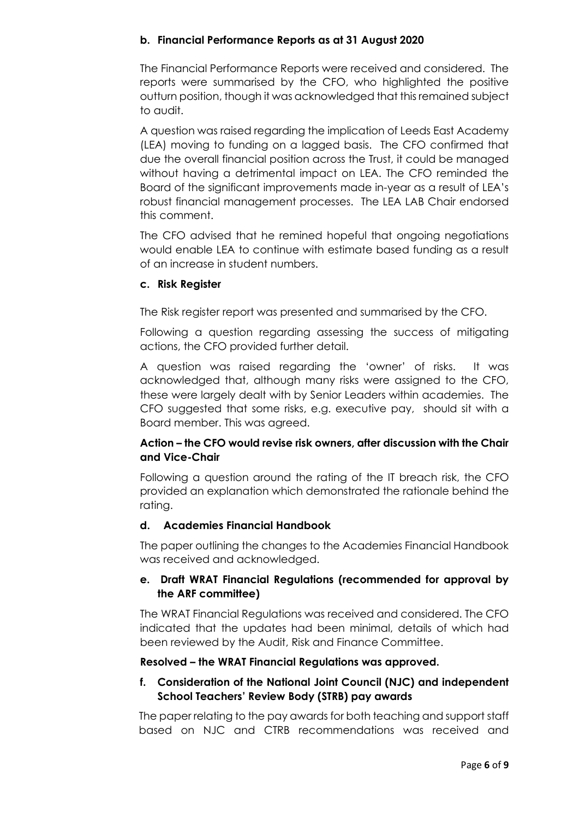## **b. Financial Performance Reports as at 31 August 2020**

The Financial Performance Reports were received and considered. The reports were summarised by the CFO, who highlighted the positive outturn position, though it was acknowledged that this remained subject to audit.

A question was raised regarding the implication of Leeds East Academy (LEA) moving to funding on a lagged basis. The CFO confirmed that due the overall financial position across the Trust, it could be managed without having a detrimental impact on LEA. The CFO reminded the Board of the significant improvements made in-year as a result of LEA's robust financial management processes. The LEA LAB Chair endorsed this comment.

The CFO advised that he remined hopeful that ongoing negotiations would enable LEA to continue with estimate based funding as a result of an increase in student numbers.

### **c. Risk Register**

The Risk register report was presented and summarised by the CFO.

Following a question regarding assessing the success of mitigating actions, the CFO provided further detail.

A question was raised regarding the 'owner' of risks. It was acknowledged that, although many risks were assigned to the CFO, these were largely dealt with by Senior Leaders within academies. The CFO suggested that some risks, e.g. executive pay, should sit with a Board member. This was agreed.

## **Action – the CFO would revise risk owners, after discussion with the Chair and Vice-Chair**

Following a question around the rating of the IT breach risk, the CFO provided an explanation which demonstrated the rationale behind the rating.

### **d. Academies Financial Handbook**

The paper outlining the changes to the Academies Financial Handbook was received and acknowledged.

## **e. Draft WRAT Financial Regulations (recommended for approval by the ARF committee)**

The WRAT Financial Regulations was received and considered. The CFO indicated that the updates had been minimal, details of which had been reviewed by the Audit, Risk and Finance Committee.

### **Resolved – the WRAT Financial Regulations was approved.**

## **f. Consideration of the National Joint Council (NJC) and independent School Teachers' Review Body (STRB) pay awards**

The paper relating to the pay awards for both teaching and support staff based on NJC and CTRB recommendations was received and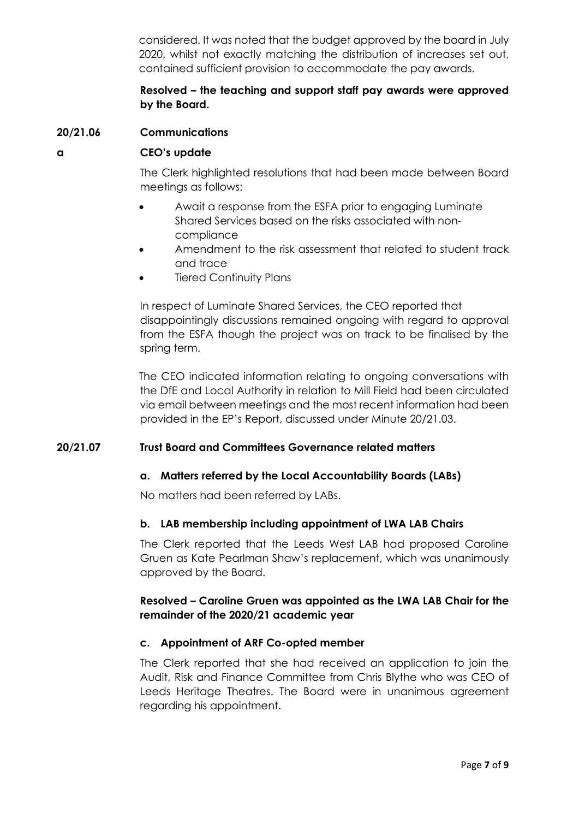considered. It was noted that the budget approved by the board in July 2020, whilst not exactly matching the distribution of increases set out, contained sufficient provision to accommodate the pay awards.

## **Resolved – the teaching and support staff pay awards were approved by the Board.**

## **20/21.06 Communications**

#### **a CEO's update**

The Clerk highlighted resolutions that had been made between Board meetings as follows:

- Await a response from the ESFA prior to engaging Luminate Shared Services based on the risks associated with noncompliance
- Amendment to the risk assessment that related to student track and trace
- **Tiered Continuity Plans**

In respect of Luminate Shared Services, the CEO reported that disappointingly discussions remained ongoing with regard to approval from the ESFA though the project was on track to be finalised by the spring term.

The CEO indicated information relating to ongoing conversations with the DfE and Local Authority in relation to Mill Field had been circulated via email between meetings and the most recent information had been provided in the EP's Report, discussed under Minute 20/21.03.

### **20/21.07 Trust Board and Committees Governance related matters**

### **a. Matters referred by the Local Accountability Boards (LABs)**

No matters had been referred by LABs.

### **b. LAB membership including appointment of LWA LAB Chairs**

The Clerk reported that the Leeds West LAB had proposed Caroline Gruen as Kate Pearlman Shaw's replacement, which was unanimously approved by the Board.

## **Resolved – Caroline Gruen was appointed as the LWA LAB Chair for the remainder of the 2020/21 academic year**

### **c. Appointment of ARF Co-opted member**

The Clerk reported that she had received an application to join the Audit, Risk and Finance Committee from Chris Blythe who was CEO of Leeds Heritage Theatres. The Board were in unanimous agreement regarding his appointment.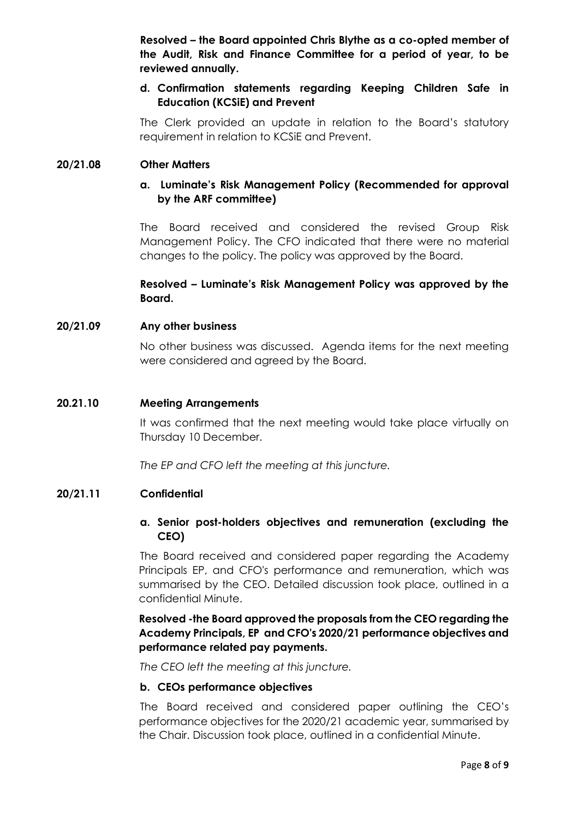**Resolved – the Board appointed Chris Blythe as a co-opted member of the Audit, Risk and Finance Committee for a period of year, to be reviewed annually.** 

## **d. Confirmation statements regarding Keeping Children Safe in Education (KCSiE) and Prevent**

The Clerk provided an update in relation to the Board's statutory requirement in relation to KCSiE and Prevent.

### **20/21.08 Other Matters**

## **a. Luminate's Risk Management Policy (Recommended for approval by the ARF committee)**

The Board received and considered the revised Group Risk Management Policy. The CFO indicated that there were no material changes to the policy. The policy was approved by the Board.

## **Resolved – Luminate's Risk Management Policy was approved by the Board.**

#### **20/21.09 Any other business**

No other business was discussed. Agenda items for the next meeting were considered and agreed by the Board.

#### **20.21.10 Meeting Arrangements**

It was confirmed that the next meeting would take place virtually on Thursday 10 December.

*The EP and CFO left the meeting at this juncture.* 

#### **20/21.11 Confidential**

### **a. Senior post-holders objectives and remuneration (excluding the CEO)**

The Board received and considered paper regarding the Academy Principals EP, and CFO's performance and remuneration, which was summarised by the CEO. Detailed discussion took place, outlined in a confidential Minute.

## **Resolved -the Board approved the proposals from the CEO regarding the Academy Principals, EP and CFO's 2020/21 performance objectives and performance related pay payments.**

*The CEO left the meeting at this juncture.*

#### **b. CEOs performance objectives**

The Board received and considered paper outlining the CEO's performance objectives for the 2020/21 academic year, summarised by the Chair. Discussion took place, outlined in a confidential Minute.